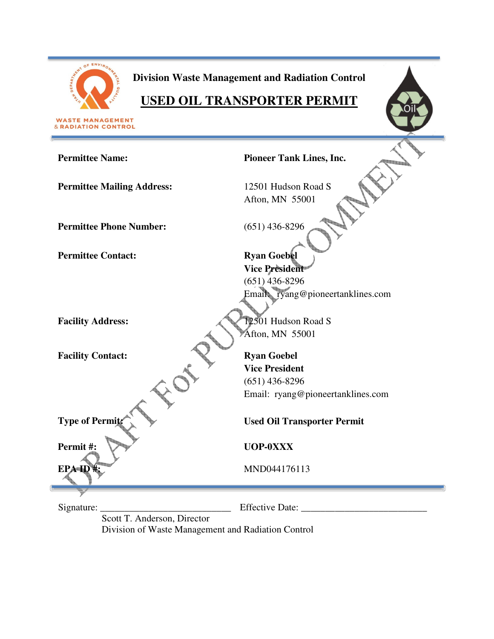

**Division Waste Management and Radiation Control** 

# **USED OIL TRANSPORTER PERMIT**

**WASTE MANAGEMENT**<br>& RADIATION CONTROL

| <b>Permittee Name:</b>            | <b>Pioneer Tank Lines, Inc.</b>    |
|-----------------------------------|------------------------------------|
| <b>Permittee Mailing Address:</b> | 12501 Hudson Road S                |
|                                   | Afton, MN 55001                    |
| <b>Permittee Phone Number:</b>    | $(651)$ 436-8296                   |
| <b>Permittee Contact:</b>         | <b>Ryan Goebel</b>                 |
|                                   | <b>Vice President</b>              |
|                                   | $(651)$ 436-8296                   |
|                                   | Email ryang@pioneertanklines.com   |
|                                   |                                    |
|                                   |                                    |
| <b>Facility Address:</b>          | 12501 Hudson Road S                |
|                                   | Afton, MN 55001                    |
| <b>Facility Contact:</b>          | <b>Ryan Goebel</b>                 |
|                                   | <b>Vice President</b>              |
|                                   | $(651)$ 436-8296                   |
|                                   | Email: ryang@pioneertanklines.com  |
|                                   |                                    |
| <b>Type of Permit</b>             | <b>Used Oil Transporter Permit</b> |
| Permit#:                          | <b>UOP-0XXX</b>                    |
|                                   |                                    |
| EPA ID <sup>#</sup> :             | MND044176113                       |
|                                   |                                    |
| Signature:                        | <b>Effective Date:</b>             |
| Scott T. Anderson, Director       |                                    |
|                                   |                                    |

Division of Waste Management and Radiation Control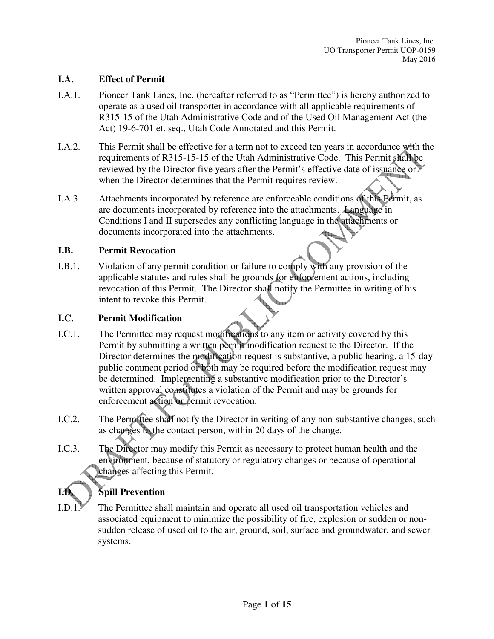#### **I.A. Effect of Permit**

- I.A.1. Pioneer Tank Lines, Inc. (hereafter referred to as "Permittee") is hereby authorized to operate as a used oil transporter in accordance with all applicable requirements of R315-15 of the Utah Administrative Code and of the Used Oil Management Act (the Act) 19-6-701 et. seq., Utah Code Annotated and this Permit.
- I.A.2. This Permit shall be effective for a term not to exceed ten years in accordance with the requirements of R315-15-15 of the Utah Administrative Code. This Permit shall be reviewed by the Director five years after the Permit's effective date of issuance or when the Director determines that the Permit requires review.
- I.A.3. Attachments incorporated by reference are enforceable conditions of this Permit, as are documents incorporated by reference into the attachments. Language in Conditions I and II supersedes any conflicting language in the attachments or documents incorporated into the attachments.

#### **I.B. Permit Revocation**

I.B.1. Violation of any permit condition or failure to comply with any provision of the applicable statutes and rules shall be grounds for enforcement actions, including revocation of this Permit. The Director shall notify the Permittee in writing of his intent to revoke this Permit.

#### **I.C. Permit Modification**

- I.C.1. The Permittee may request modifications to any item or activity covered by this Permit by submitting a written permit modification request to the Director. If the Director determines the modification request is substantive, a public hearing, a 15-day public comment period or both may be required before the modification request may be determined. Implementing a substantive modification prior to the Director's written approval constitutes a violation of the Permit and may be grounds for enforcement action or permit revocation.
- I.C.2. The Permittee shall notify the Director in writing of any non-substantive changes, such as changes to the contact person, within 20 days of the change.
- I.C.3. The Director may modify this Permit as necessary to protect human health and the environment, because of statutory or regulatory changes or because of operational changes affecting this Permit.

# **Spill Prevention**

I.D.1. The Permittee shall maintain and operate all used oil transportation vehicles and associated equipment to minimize the possibility of fire, explosion or sudden or nonsudden release of used oil to the air, ground, soil, surface and groundwater, and sewer systems.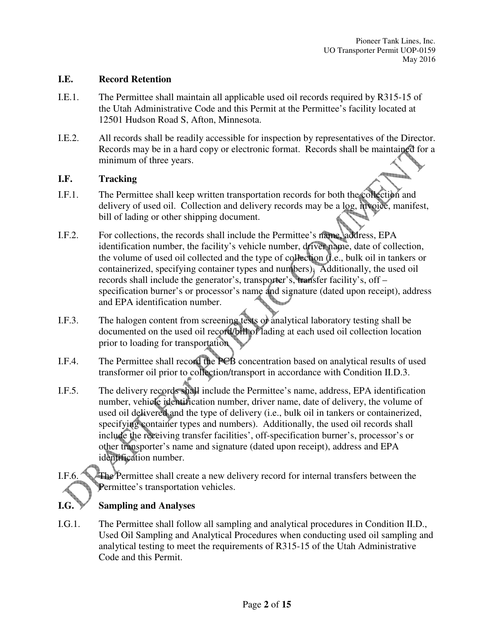#### **I.E. Record Retention**

- I.E.1. The Permittee shall maintain all applicable used oil records required by R315-15 of the Utah Administrative Code and this Permit at the Permittee's facility located at 12501 Hudson Road S, Afton, Minnesota.
- I.E.2. All records shall be readily accessible for inspection by representatives of the Director. Records may be in a hard copy or electronic format. Records shall be maintained for a minimum of three years.

#### **I.F. Tracking**

- I.F.1. The Permittee shall keep written transportation records for both the collection and delivery of used oil. Collection and delivery records may be a log, invoice, manifest, bill of lading or other shipping document.
- I.F.2. For collections, the records shall include the Permittee's name, address, EPA identification number, the facility's vehicle number, driver name, date of collection, the volume of used oil collected and the type of collection (i.e., bulk oil in tankers or containerized, specifying container types and numbers). Additionally, the used oil records shall include the generator's, transporter's, transfer facility's, off – specification burner's or processor's name and signature (dated upon receipt), address and EPA identification number.
- I.F.3. The halogen content from screening tests or analytical laboratory testing shall be documented on the used oil record/bill of lading at each used oil collection location prior to loading for transportation
- I.F.4. The Permittee shall record the PCB concentration based on analytical results of used transformer oil prior to collection/transport in accordance with Condition II.D.3.
- I.F.5. The delivery records shall include the Permittee's name, address, EPA identification number, vehicle identification number, driver name, date of delivery, the volume of used oil delivered and the type of delivery (i.e., bulk oil in tankers or containerized, specifying container types and numbers). Additionally, the used oil records shall include the receiving transfer facilities', off-specification burner's, processor's or other transporter's name and signature (dated upon receipt), address and EPA identification number.
- I.F.6. The Permittee shall create a new delivery record for internal transfers between the Permittee's transportation vehicles.

### **I.G. Sampling and Analyses**

I.G.1. The Permittee shall follow all sampling and analytical procedures in Condition II.D., Used Oil Sampling and Analytical Procedures when conducting used oil sampling and analytical testing to meet the requirements of R315-15 of the Utah Administrative Code and this Permit.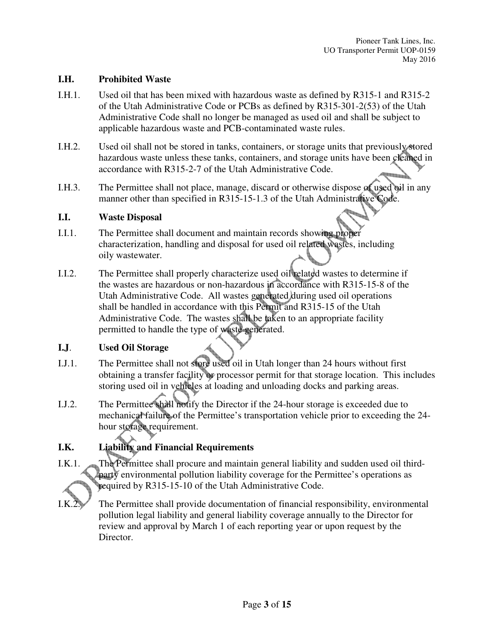#### **I.H. Prohibited Waste**

- I.H.1. Used oil that has been mixed with hazardous waste as defined by R315-1 and R315-2 of the Utah Administrative Code or PCBs as defined by R315-301-2(53) of the Utah Administrative Code shall no longer be managed as used oil and shall be subject to applicable hazardous waste and PCB-contaminated waste rules.
- I.H.2. Used oil shall not be stored in tanks, containers, or storage units that previously stored hazardous waste unless these tanks, containers, and storage units have been cleaned in accordance with R315-2-7 of the Utah Administrative Code.
- I.H.3. The Permittee shall not place, manage, discard or otherwise dispose of used oil in any manner other than specified in R315-15-1.3 of the Utah Administrative Code.

#### **I.I. Waste Disposal**

- I.I.1. The Permittee shall document and maintain records showing proper characterization, handling and disposal for used oil related wastes, including oily wastewater.
- I.I.2. The Permittee shall properly characterize used oil related wastes to determine if the wastes are hazardous or non-hazardous in accordance with R315-15-8 of the Utah Administrative Code. All wastes generated during used oil operations shall be handled in accordance with this Permit and R315-15 of the Utah Administrative Code. The wastes shall be taken to an appropriate facility permitted to handle the type of waste generated.

#### **I.J**. **Used Oil Storage**

- I.J.1. The Permittee shall not store used oil in Utah longer than 24 hours without first obtaining a transfer facility or processor permit for that storage location. This includes storing used oil in vehicles at loading and unloading docks and parking areas.
- I.J.2. The Permittee shall notify the Director if the 24-hour storage is exceeded due to mechanical failure of the Permittee's transportation vehicle prior to exceeding the 24 hour storage requirement.

### **I.K. Liability and Financial Requirements**

- I.K.1. The Permittee shall procure and maintain general liability and sudden used oil thirdparty environmental pollution liability coverage for the Permittee's operations as required by R315-15-10 of the Utah Administrative Code.
- I.K.2. The Permittee shall provide documentation of financial responsibility, environmental pollution legal liability and general liability coverage annually to the Director for review and approval by March 1 of each reporting year or upon request by the Director.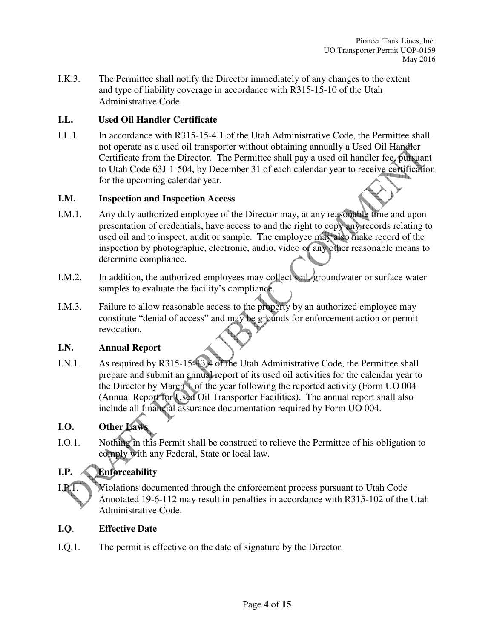I.K.3. The Permittee shall notify the Director immediately of any changes to the extent and type of liability coverage in accordance with R315-15-10 of the Utah Administrative Code.

#### **I.L. Used Oil Handler Certificate**

I.L.1. In accordance with R315-15-4.1 of the Utah Administrative Code, the Permittee shall not operate as a used oil transporter without obtaining annually a Used Oil Handler Certificate from the Director. The Permittee shall pay a used oil handler fee, pursuant to Utah Code 63J-1-504, by December 31 of each calendar year to receive certification for the upcoming calendar year.

#### **I.M. Inspection and Inspection Access**

- I.M.1. Any duly authorized employee of the Director may, at any reasonable time and upon presentation of credentials, have access to and the right to copy any records relating to used oil and to inspect, audit or sample. The employee may also make record of the inspection by photographic, electronic, audio, video or any other reasonable means to determine compliance.
- I.M.2. In addition, the authorized employees may collect soil, groundwater or surface water samples to evaluate the facility's compliance.
- I.M.3. Failure to allow reasonable access to the property by an authorized employee may constitute "denial of access" and may be grounds for enforcement action or permit revocation.

#### **I.N. Annual Report**

I.N.1. As required by R315-15-13.4 of the Utah Administrative Code, the Permittee shall prepare and submit an annual report of its used oil activities for the calendar year to the Director by March 1 of the year following the reported activity (Form UO 004 (Annual Report for Used Oil Transporter Facilities). The annual report shall also include all financial assurance documentation required by Form UO 004.

### **I.O.** Other Law

I.O.1. Nothing in this Permit shall be construed to relieve the Permittee of his obligation to comply with any Federal, State or local law.

### **I.P. Enforceability**

I.P.1. Violations documented through the enforcement process pursuant to Utah Code Annotated 19-6-112 may result in penalties in accordance with R315-102 of the Utah Administrative Code.

#### **I.Q**. **Effective Date**

I.Q.1. The permit is effective on the date of signature by the Director.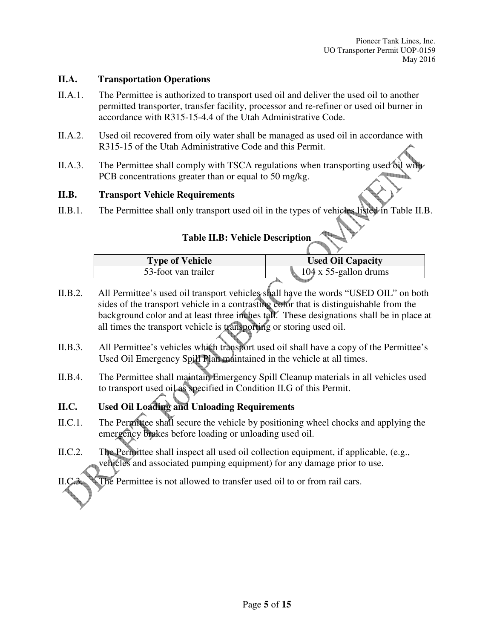#### **II.A. Transportation Operations**

- II.A.1. The Permittee is authorized to transport used oil and deliver the used oil to another permitted transporter, transfer facility, processor and re-refiner or used oil burner in accordance with R315-15-4.4 of the Utah Administrative Code.
- II.A.2. Used oil recovered from oily water shall be managed as used oil in accordance with R315-15 of the Utah Administrative Code and this Permit.
- II.A.3. The Permittee shall comply with TSCA regulations when transporting used oil PCB concentrations greater than or equal to 50 mg/kg.

#### **II.B. Transport Vehicle Requirements**

II.B.1. The Permittee shall only transport used oil in the types of vehicles listed in Table II.B.

# **Table II.B: Vehicle Description**

| <b>Type of Vehicle</b> | <b>Used Oil Capacity</b>      |
|------------------------|-------------------------------|
| 53-foot van trailer    | $104 \times 55$ -gallon drums |
|                        |                               |

- II.B.2. All Permittee's used oil transport vehicles shall have the words "USED OIL" on both sides of the transport vehicle in a contrasting color that is distinguishable from the background color and at least three inches tall. These designations shall be in place at all times the transport vehicle is transporting or storing used oil.
- II.B.3. All Permittee's vehicles which transport used oil shall have a copy of the Permittee's Used Oil Emergency Spill Plan maintained in the vehicle at all times.
- II.B.4. The Permittee shall maintain Emergency Spill Cleanup materials in all vehicles used to transport used oil as specified in Condition II.G of this Permit.

# **II.C. Used Oil Loading and Unloading Requirements**

- II.C.1. The Permittee shall secure the vehicle by positioning wheel chocks and applying the emergency brakes before loading or unloading used oil.
- II.C.2. The Permittee shall inspect all used oil collection equipment, if applicable, (e.g., vehicles and associated pumping equipment) for any damage prior to use.

The Permittee is not allowed to transfer used oil to or from rail cars.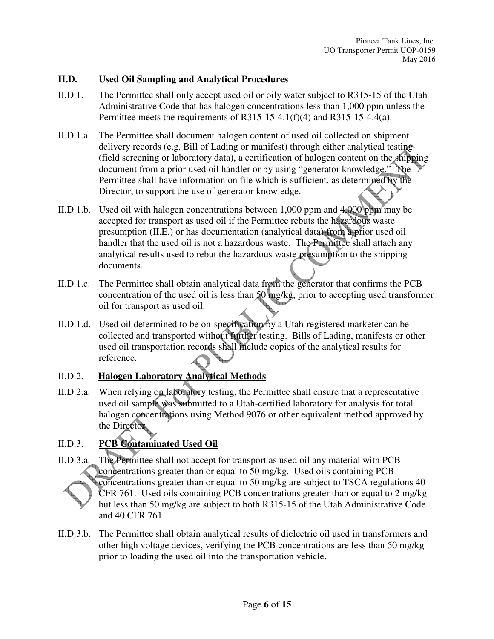#### **II.D. Used Oil Sampling and Analytical Procedures**

- II.D.1. The Permittee shall only accept used oil or oily water subject to R315-15 of the Utah Administrative Code that has halogen concentrations less than 1,000 ppm unless the Permittee meets the requirements of R315-15-4.1(f)(4) and R315-15-4.4(a).
- II.D.1.a. The Permittee shall document halogen content of used oil collected on shipment delivery records (e.g. Bill of Lading or manifest) through either analytical testing (field screening or laboratory data), a certification of halogen content on the shipping document from a prior used oil handler or by using "generator knowledge." The Permittee shall have information on file which is sufficient, as determined by the Director, to support the use of generator knowledge.
- II.D.1.b. Used oil with halogen concentrations between 1,000 ppm and 4,000 ppm may be accepted for transport as used oil if the Permittee rebuts the hazardous waste presumption (II.E.) or has documentation (analytical data) from a prior used oil handler that the used oil is not a hazardous waste. The Permittee shall attach any analytical results used to rebut the hazardous waste presumption to the shipping documents.
- II.D.1.c. The Permittee shall obtain analytical data from the generator that confirms the PCB concentration of the used oil is less than  $50 \text{ mg/kg}$ , prior to accepting used transformer oil for transport as used oil.
- II.D.1.d. Used oil determined to be on-specification by a Utah-registered marketer can be collected and transported without further testing. Bills of Lading, manifests or other used oil transportation records shall include copies of the analytical results for reference.

### II.D.2. **Halogen Laboratory Analytical Methods**

II.D.2.a. When relying on laboratory testing, the Permittee shall ensure that a representative used oil sample was submitted to a Utah-certified laboratory for analysis for total halogen concentrations using Method 9076 or other equivalent method approved by the Director.

### II.D.3. **PCB Contaminated Used Oil**

- II.D.3.a. The Permittee shall not accept for transport as used oil any material with PCB concentrations greater than or equal to 50 mg/kg. Used oils containing PCB concentrations greater than or equal to 50 mg/kg are subject to TSCA regulations 40 CFR 761. Used oils containing PCB concentrations greater than or equal to 2 mg/kg but less than 50 mg/kg are subject to both R315-15 of the Utah Administrative Code and 40 CFR 761.
- II.D.3.b. The Permittee shall obtain analytical results of dielectric oil used in transformers and other high voltage devices, verifying the PCB concentrations are less than 50 mg/kg prior to loading the used oil into the transportation vehicle.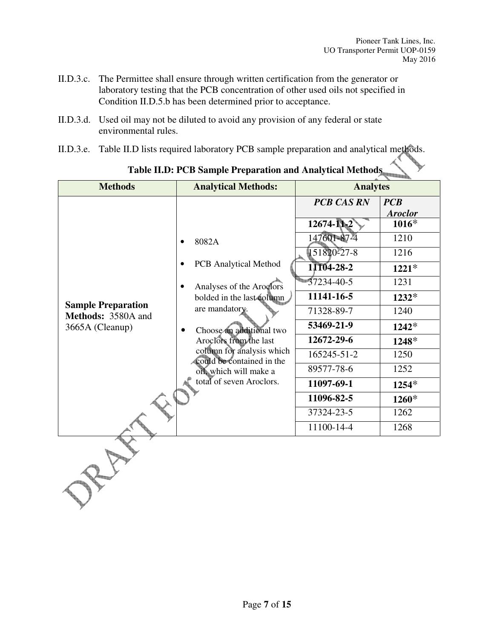- II.D.3.c. The Permittee shall ensure through written certification from the generator or laboratory testing that the PCB concentration of other used oils not specified in Condition II.D.5.b has been determined prior to acceptance.
- II.D.3.d. Used oil may not be diluted to avoid any provision of any federal or state environmental rules.
- II.D.3.e. Table II.D lists required laboratory PCB sample preparation and analytical methods.

| <b>Methods</b>                                                                               | <b>Analytical Methods:</b>                                                            | <b>Analytes</b>        |                |
|----------------------------------------------------------------------------------------------|---------------------------------------------------------------------------------------|------------------------|----------------|
|                                                                                              |                                                                                       | <b>PCB CAS RN</b>      | PCB            |
| $\bullet$<br><b>Sample Preparation</b><br>Methods: 3580A and<br>3665A (Cleanup)<br>$\bullet$ |                                                                                       |                        | <b>Aroclor</b> |
|                                                                                              |                                                                                       | $12674 - 112$          | $1016*$        |
|                                                                                              | 8082A                                                                                 | 147601-87-4            | 1210           |
|                                                                                              | <b>PCB</b> Analytical Method<br>Analyses of the Aroglors<br>bolded in the last column | $151820^227 - 8$       | 1216           |
|                                                                                              |                                                                                       | 11104-28-2             | $1221*$        |
|                                                                                              |                                                                                       | $\frac{1}{37234-40-5}$ | 1231           |
|                                                                                              |                                                                                       | 11141-16-5             | $1232*$        |
|                                                                                              | are mandatory.                                                                        | 71328-89-7             | 1240           |
|                                                                                              | Choose an additional two                                                              | 53469-21-9             | $1242*$        |
|                                                                                              | Aroclors from the last                                                                | 12672-29-6             | 1248*          |
|                                                                                              | column for analysis which<br>could be contained in the                                | 165245-51-2            | 1250           |
|                                                                                              | off which will make a                                                                 | 89577-78-6             | 1252           |
|                                                                                              | total of seven Aroclors.                                                              | 11097-69-1             | $1254*$        |
|                                                                                              |                                                                                       | 11096-82-5             | $1260*$        |
|                                                                                              | 37324-23-5                                                                            | 1262                   |                |
|                                                                                              |                                                                                       | 11100-14-4             | 1268           |
|                                                                                              |                                                                                       |                        |                |

**Table II.D: PCB Sample Preparation and Analytical Methods**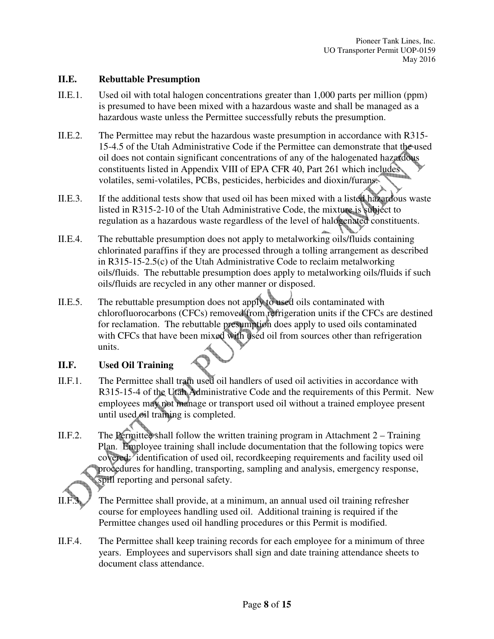#### **II.E. Rebuttable Presumption**

- II.E.1. Used oil with total halogen concentrations greater than 1,000 parts per million (ppm) is presumed to have been mixed with a hazardous waste and shall be managed as a hazardous waste unless the Permittee successfully rebuts the presumption.
- II.E.2. The Permittee may rebut the hazardous waste presumption in accordance with R315- 15-4.5 of the Utah Administrative Code if the Permittee can demonstrate that the used oil does not contain significant concentrations of any of the halogenated hazardous constituents listed in Appendix VIII of EPA CFR 40, Part 261 which includes volatiles, semi-volatiles, PCBs, pesticides, herbicides and dioxin/furans.
- II.E.3. If the additional tests show that used oil has been mixed with a listed hazardous waste listed in R315-2-10 of the Utah Administrative Code, the mixture is subject to regulation as a hazardous waste regardless of the level of halogenated constituents.
- II.E.4. The rebuttable presumption does not apply to metalworking oils/fluids containing chlorinated paraffins if they are processed through a tolling arrangement as described in R315-15-2.5(c) of the Utah Administrative Code to reclaim metalworking oils/fluids. The rebuttable presumption does apply to metalworking oils/fluids if such oils/fluids are recycled in any other manner or disposed.
- II.E.5. The rebuttable presumption does not apply to used oils contaminated with chlorofluorocarbons (CFCs) removed from refrigeration units if the CFCs are destined for reclamation. The rebuttable presumption does apply to used oils contaminated with CFCs that have been mixed with used oil from sources other than refrigeration units.

#### **II.F. Used Oil Training**

- II.F.1. The Permittee shall train used oil handlers of used oil activities in accordance with R315-15-4 of the Utah Administrative Code and the requirements of this Permit. New employees may not manage or transport used oil without a trained employee present until used oil training is completed.
- II.F.2. The Permittee shall follow the written training program in Attachment  $2 -$  Training Plan. Employee training shall include documentation that the following topics were covered: identification of used oil, recordkeeping requirements and facility used oil procedures for handling, transporting, sampling and analysis, emergency response, spill reporting and personal safety.

The Permittee shall provide, at a minimum, an annual used oil training refresher course for employees handling used oil. Additional training is required if the Permittee changes used oil handling procedures or this Permit is modified.

II.F.4. The Permittee shall keep training records for each employee for a minimum of three years. Employees and supervisors shall sign and date training attendance sheets to document class attendance.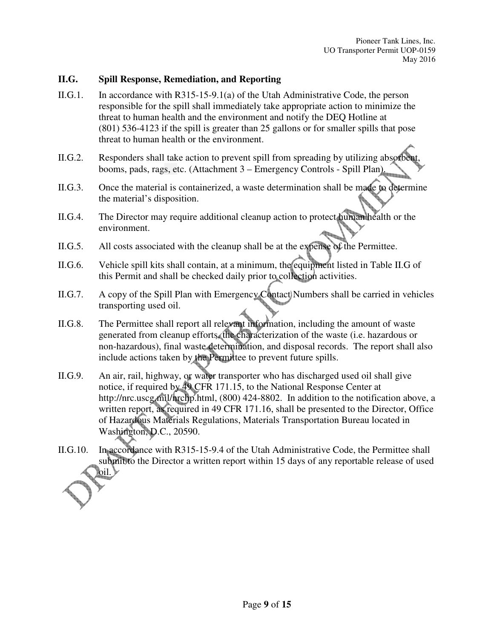#### **II.G. Spill Response, Remediation, and Reporting**

- II.G.1. In accordance with R315-15-9.1(a) of the Utah Administrative Code, the person responsible for the spill shall immediately take appropriate action to minimize the threat to human health and the environment and notify the DEQ Hotline at (801) 536-4123 if the spill is greater than 25 gallons or for smaller spills that pose threat to human health or the environment.
- II.G.2. Responders shall take action to prevent spill from spreading by utilizing absorbent, booms, pads, rags, etc. (Attachment 3 – Emergency Controls - Spill Plan).
- II.G.3. Once the material is containerized, a waste determination shall be made to determine the material's disposition.
- II.G.4. The Director may require additional cleanup action to protect human health or the environment.
- II.G.5. All costs associated with the cleanup shall be at the expense of the Permittee.
- II.G.6. Vehicle spill kits shall contain, at a minimum, the equipment listed in Table II.G of this Permit and shall be checked daily prior to collection activities.
- II.G.7. A copy of the Spill Plan with Emergency Contact Numbers shall be carried in vehicles transporting used oil.
- II.G.8. The Permittee shall report all relevant information, including the amount of waste generated from cleanup efforts, the characterization of the waste (i.e. hazardous or non-hazardous), final waste determination, and disposal records. The report shall also include actions taken by the Permittee to prevent future spills.
- II.G.9. An air, rail, highway, or water transporter who has discharged used oil shall give notice, if required by 49 CFR 171.15, to the National Response Center at http://nrc.uscg.mil/nrchp.html, (800) 424-8802. In addition to the notification above, a written report, as required in 49 CFR 171.16, shall be presented to the Director, Office of Hazardous Materials Regulations, Materials Transportation Bureau located in Washington, D.C., 20590.
- II.G.10. In accordance with R315-15-9.4 of the Utah Administrative Code, the Permittee shall submit to the Director a written report within 15 days of any reportable release of used  $\mathbf{p}$ il.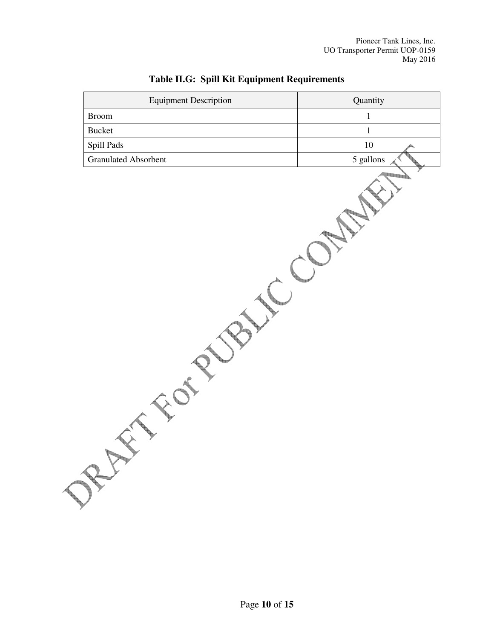Pioneer Tank Lines, Inc. UO Transporter Permit UOP-0159 May 2016

| <b>Equipment Description</b> | Quantity  |  |
|------------------------------|-----------|--|
| $\operatorname{Broom}$       | $\,1$     |  |
| Bucket                       | $\,1$     |  |
| Spill Pads                   | $10\,$    |  |
| <b>Granulated Absorbent</b>  | 5 gallons |  |
| BER                          |           |  |

# **Table II.G: Spill Kit Equipment Requirements**

 $\overline{\phantom{0}}$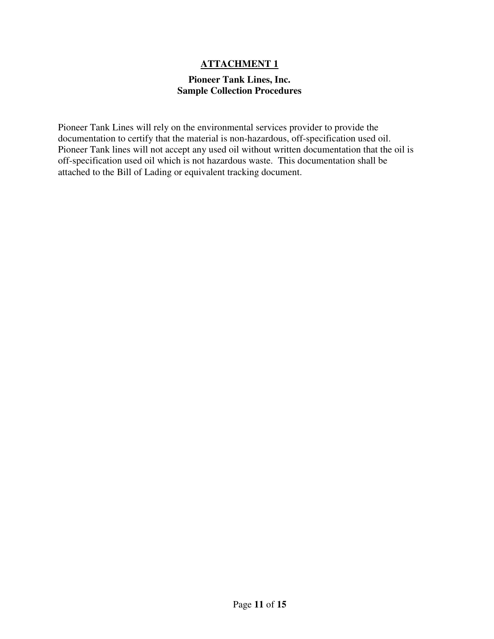#### **ATTACHMENT 1**

#### **Pioneer Tank Lines, Inc. Sample Collection Procedures**

Pioneer Tank Lines will rely on the environmental services provider to provide the documentation to certify that the material is non-hazardous, off-specification used oil. Pioneer Tank lines will not accept any used oil without written documentation that the oil is off-specification used oil which is not hazardous waste. This documentation shall be attached to the Bill of Lading or equivalent tracking document.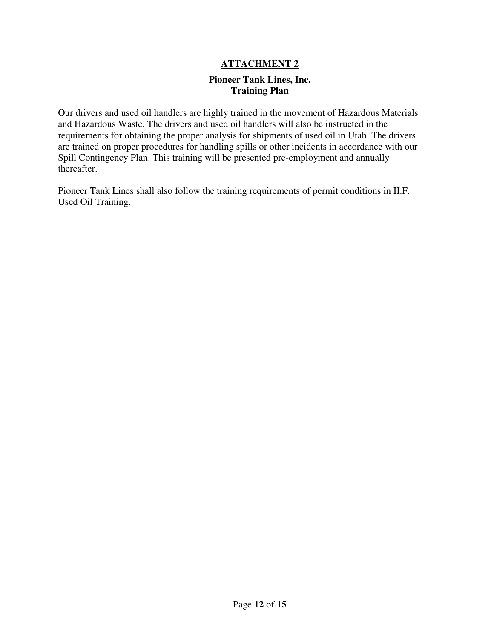#### **ATTACHMENT 2**

#### **Pioneer Tank Lines, Inc. Training Plan**

Our drivers and used oil handlers are highly trained in the movement of Hazardous Materials and Hazardous Waste. The drivers and used oil handlers will also be instructed in the requirements for obtaining the proper analysis for shipments of used oil in Utah. The drivers are trained on proper procedures for handling spills or other incidents in accordance with our Spill Contingency Plan. This training will be presented pre-employment and annually thereafter.

Pioneer Tank Lines shall also follow the training requirements of permit conditions in II.F. Used Oil Training.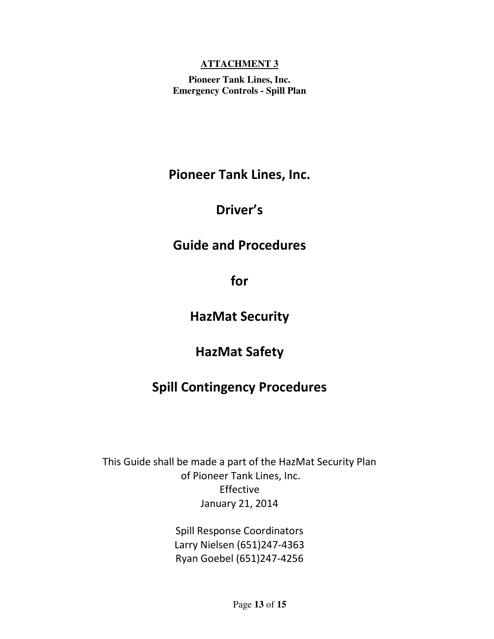#### **ATTACHMENT 3**

**Pioneer Tank Lines, Inc. Emergency Controls - Spill Plan** 

Pioneer Tank Lines, Inc.

# Driver's

# Guide and Procedures

for

# HazMat Security

# HazMat Safety

# Spill Contingency Procedures

This Guide shall be made a part of the HazMat Security Plan of Pioneer Tank Lines, Inc. Effective January 21, 2014

> Spill Response Coordinators Larry Nielsen (651)247-4363 Ryan Goebel (651)247-4256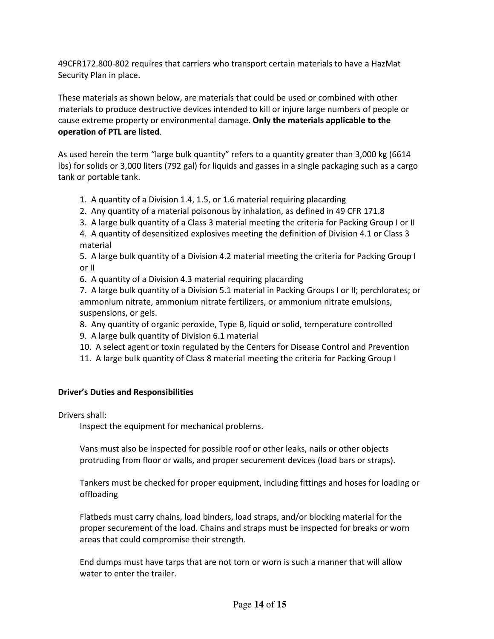49CFR172.800-802 requires that carriers who transport certain materials to have a HazMat Security Plan in place.

These materials as shown below, are materials that could be used or combined with other materials to produce destructive devices intended to kill or injure large numbers of people or cause extreme property or environmental damage. Only the materials applicable to the operation of PTL are listed.

As used herein the term "large bulk quantity" refers to a quantity greater than 3,000 kg (6614 lbs) for solids or 3,000 liters (792 gal) for liquids and gasses in a single packaging such as a cargo tank or portable tank.

1. A quantity of a Division 1.4, 1.5, or 1.6 material requiring placarding

- 2. Any quantity of a material poisonous by inhalation, as defined in 49 CFR 171.8
- 3. A large bulk quantity of a Class 3 material meeting the criteria for Packing Group I or II

 4. A quantity of desensitized explosives meeting the definition of Division 4.1 or Class 3 material

5. A large bulk quantity of a Division 4.2 material meeting the criteria for Packing Group I or II

6. A quantity of a Division 4.3 material requiring placarding

 7. A large bulk quantity of a Division 5.1 material in Packing Groups I or II; perchlorates; or ammonium nitrate, ammonium nitrate fertilizers, or ammonium nitrate emulsions, suspensions, or gels.

8. Any quantity of organic peroxide, Type B, liquid or solid, temperature controlled

- 9. A large bulk quantity of Division 6.1 material
- 10. A select agent or toxin regulated by the Centers for Disease Control and Prevention
- 11. A large bulk quantity of Class 8 material meeting the criteria for Packing Group I

#### Driver's Duties and Responsibilities

Drivers shall:

Inspect the equipment for mechanical problems.

 Vans must also be inspected for possible roof or other leaks, nails or other objects protruding from floor or walls, and proper securement devices (load bars or straps).

 Tankers must be checked for proper equipment, including fittings and hoses for loading or offloading

 Flatbeds must carry chains, load binders, load straps, and/or blocking material for the proper securement of the load. Chains and straps must be inspected for breaks or worn areas that could compromise their strength.

 End dumps must have tarps that are not torn or worn is such a manner that will allow water to enter the trailer.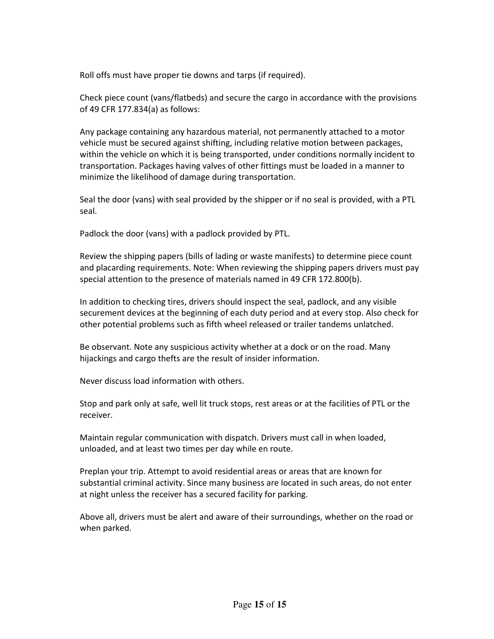Roll offs must have proper tie downs and tarps (if required).

 Check piece count (vans/flatbeds) and secure the cargo in accordance with the provisions of 49 CFR 177.834(a) as follows:

 Any package containing any hazardous material, not permanently attached to a motor vehicle must be secured against shifting, including relative motion between packages, within the vehicle on which it is being transported, under conditions normally incident to transportation. Packages having valves of other fittings must be loaded in a manner to minimize the likelihood of damage during transportation.

 Seal the door (vans) with seal provided by the shipper or if no seal is provided, with a PTL seal.

Padlock the door (vans) with a padlock provided by PTL.

 Review the shipping papers (bills of lading or waste manifests) to determine piece count and placarding requirements. Note: When reviewing the shipping papers drivers must pay special attention to the presence of materials named in 49 CFR 172.800(b).

 In addition to checking tires, drivers should inspect the seal, padlock, and any visible securement devices at the beginning of each duty period and at every stop. Also check for other potential problems such as fifth wheel released or trailer tandems unlatched.

 Be observant. Note any suspicious activity whether at a dock or on the road. Many hijackings and cargo thefts are the result of insider information.

Never discuss load information with others.

 Stop and park only at safe, well lit truck stops, rest areas or at the facilities of PTL or the receiver.

 Maintain regular communication with dispatch. Drivers must call in when loaded, unloaded, and at least two times per day while en route.

 Preplan your trip. Attempt to avoid residential areas or areas that are known for substantial criminal activity. Since many business are located in such areas, do not enter at night unless the receiver has a secured facility for parking.

 Above all, drivers must be alert and aware of their surroundings, whether on the road or when parked.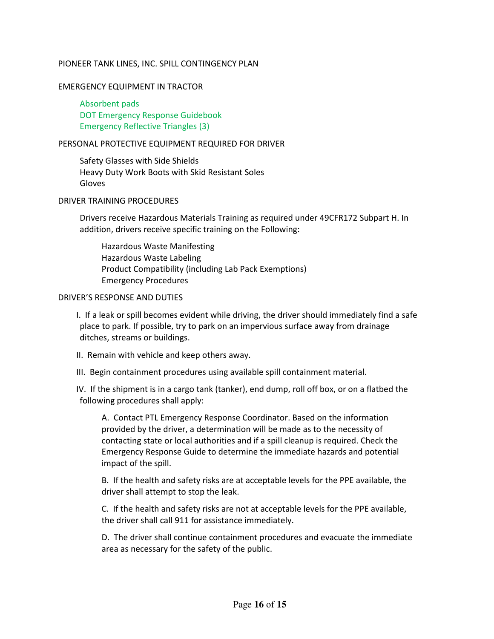#### PIONEER TANK LINES, INC. SPILL CONTINGENCY PLAN

#### EMERGENCY EQUIPMENT IN TRACTOR

 Absorbent pads DOT Emergency Response Guidebook Emergency Reflective Triangles (3)

#### PERSONAL PROTECTIVE EQUIPMENT REQUIRED FOR DRIVER

 Safety Glasses with Side Shields Heavy Duty Work Boots with Skid Resistant Soles Gloves

#### DRIVER TRAINING PROCEDURES

Drivers receive Hazardous Materials Training as required under 49CFR172 Subpart H. In addition, drivers receive specific training on the Following:

 Hazardous Waste Manifesting Hazardous Waste Labeling Product Compatibility (including Lab Pack Exemptions) Emergency Procedures

#### DRIVER'S RESPONSE AND DUTIES

I. If a leak or spill becomes evident while driving, the driver should immediately find a safe place to park. If possible, try to park on an impervious surface away from drainage ditches, streams or buildings.

- II. Remain with vehicle and keep others away.
- III. Begin containment procedures using available spill containment material.

IV. If the shipment is in a cargo tank (tanker), end dump, roll off box, or on a flatbed the following procedures shall apply:

A. Contact PTL Emergency Response Coordinator. Based on the information provided by the driver, a determination will be made as to the necessity of contacting state or local authorities and if a spill cleanup is required. Check the Emergency Response Guide to determine the immediate hazards and potential impact of the spill.

B. If the health and safety risks are at acceptable levels for the PPE available, the driver shall attempt to stop the leak.

C. If the health and safety risks are not at acceptable levels for the PPE available, the driver shall call 911 for assistance immediately.

D. The driver shall continue containment procedures and evacuate the immediate area as necessary for the safety of the public.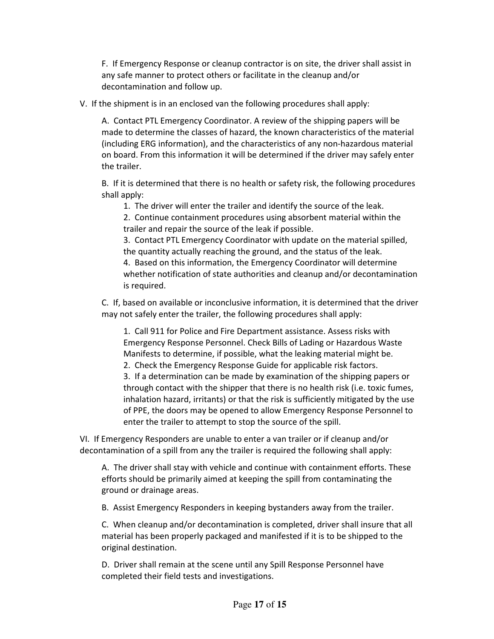F. If Emergency Response or cleanup contractor is on site, the driver shall assist in any safe manner to protect others or facilitate in the cleanup and/or decontamination and follow up.

V. If the shipment is in an enclosed van the following procedures shall apply:

A. Contact PTL Emergency Coordinator. A review of the shipping papers will be made to determine the classes of hazard, the known characteristics of the material (including ERG information), and the characteristics of any non-hazardous material on board. From this information it will be determined if the driver may safely enter the trailer.

B. If it is determined that there is no health or safety risk, the following procedures shall apply:

1. The driver will enter the trailer and identify the source of the leak.

2. Continue containment procedures using absorbent material within the trailer and repair the source of the leak if possible.

3. Contact PTL Emergency Coordinator with update on the material spilled, the quantity actually reaching the ground, and the status of the leak.

4. Based on this information, the Emergency Coordinator will determine whether notification of state authorities and cleanup and/or decontamination is required.

C. If, based on available or inconclusive information, it is determined that the driver may not safely enter the trailer, the following procedures shall apply:

1. Call 911 for Police and Fire Department assistance. Assess risks with Emergency Response Personnel. Check Bills of Lading or Hazardous Waste Manifests to determine, if possible, what the leaking material might be.

2. Check the Emergency Response Guide for applicable risk factors.

3. If a determination can be made by examination of the shipping papers or through contact with the shipper that there is no health risk (i.e. toxic fumes, inhalation hazard, irritants) or that the risk is sufficiently mitigated by the use of PPE, the doors may be opened to allow Emergency Response Personnel to enter the trailer to attempt to stop the source of the spill.

VI. If Emergency Responders are unable to enter a van trailer or if cleanup and/or decontamination of a spill from any the trailer is required the following shall apply:

A. The driver shall stay with vehicle and continue with containment efforts. These efforts should be primarily aimed at keeping the spill from contaminating the ground or drainage areas.

B. Assist Emergency Responders in keeping bystanders away from the trailer.

C. When cleanup and/or decontamination is completed, driver shall insure that all material has been properly packaged and manifested if it is to be shipped to the original destination.

D. Driver shall remain at the scene until any Spill Response Personnel have completed their field tests and investigations.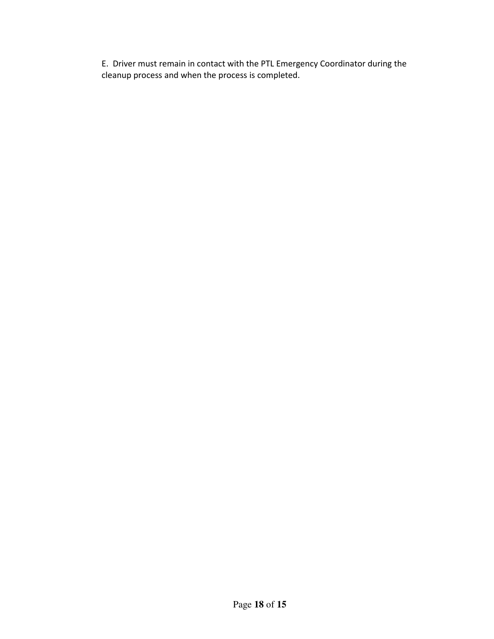E. Driver must remain in contact with the PTL Emergency Coordinator during the cleanup process and when the process is completed.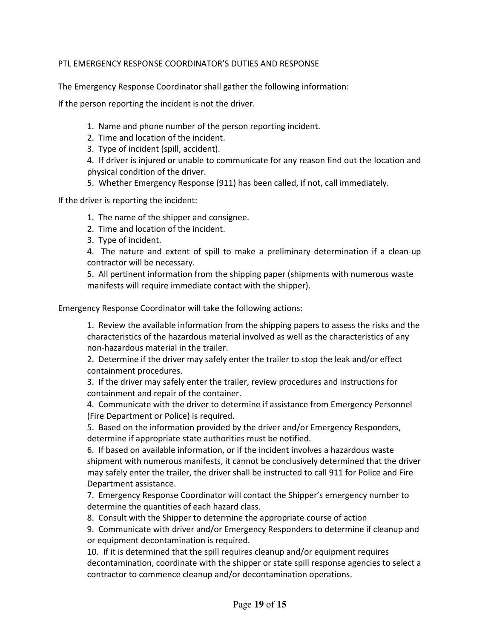#### PTL EMERGENCY RESPONSE COORDINATOR'S DUTIES AND RESPONSE

The Emergency Response Coordinator shall gather the following information:

If the person reporting the incident is not the driver.

- 1. Name and phone number of the person reporting incident.
- 2. Time and location of the incident.
- 3. Type of incident (spill, accident).

4. If driver is injured or unable to communicate for any reason find out the location and physical condition of the driver.

5. Whether Emergency Response (911) has been called, if not, call immediately.

If the driver is reporting the incident:

- 1. The name of the shipper and consignee.
- 2. Time and location of the incident.
- 3. Type of incident.

4. The nature and extent of spill to make a preliminary determination if a clean-up contractor will be necessary.

5. All pertinent information from the shipping paper (shipments with numerous waste manifests will require immediate contact with the shipper).

Emergency Response Coordinator will take the following actions:

1. Review the available information from the shipping papers to assess the risks and the characteristics of the hazardous material involved as well as the characteristics of any non-hazardous material in the trailer.

2. Determine if the driver may safely enter the trailer to stop the leak and/or effect containment procedures.

3. If the driver may safely enter the trailer, review procedures and instructions for containment and repair of the container.

4. Communicate with the driver to determine if assistance from Emergency Personnel (Fire Department or Police) is required.

5. Based on the information provided by the driver and/or Emergency Responders, determine if appropriate state authorities must be notified.

6. If based on available information, or if the incident involves a hazardous waste shipment with numerous manifests, it cannot be conclusively determined that the driver may safely enter the trailer, the driver shall be instructed to call 911 for Police and Fire Department assistance.

7. Emergency Response Coordinator will contact the Shipper's emergency number to determine the quantities of each hazard class.

8. Consult with the Shipper to determine the appropriate course of action

9. Communicate with driver and/or Emergency Responders to determine if cleanup and or equipment decontamination is required.

10. If it is determined that the spill requires cleanup and/or equipment requires decontamination, coordinate with the shipper or state spill response agencies to select a contractor to commence cleanup and/or decontamination operations.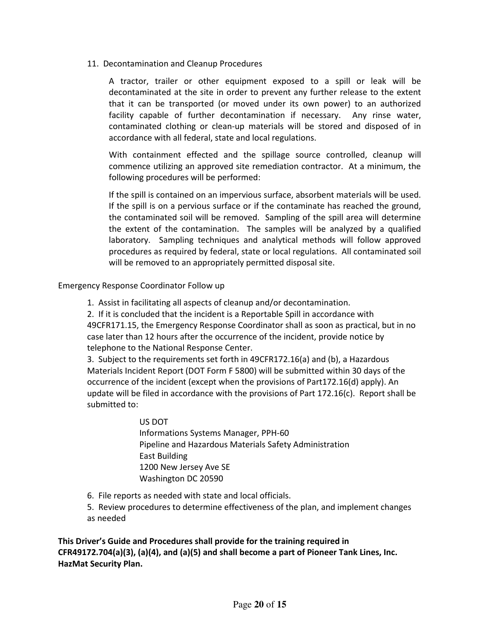11. Decontamination and Cleanup Procedures

A tractor, trailer or other equipment exposed to a spill or leak will be decontaminated at the site in order to prevent any further release to the extent that it can be transported (or moved under its own power) to an authorized facility capable of further decontamination if necessary. Any rinse water, contaminated clothing or clean-up materials will be stored and disposed of in accordance with all federal, state and local regulations.

With containment effected and the spillage source controlled, cleanup will commence utilizing an approved site remediation contractor. At a minimum, the following procedures will be performed:

If the spill is contained on an impervious surface, absorbent materials will be used. If the spill is on a pervious surface or if the contaminate has reached the ground, the contaminated soil will be removed. Sampling of the spill area will determine the extent of the contamination. The samples will be analyzed by a qualified laboratory. Sampling techniques and analytical methods will follow approved procedures as required by federal, state or local regulations. All contaminated soil will be removed to an appropriately permitted disposal site.

Emergency Response Coordinator Follow up

1. Assist in facilitating all aspects of cleanup and/or decontamination.

2. If it is concluded that the incident is a Reportable Spill in accordance with 49CFR171.15, the Emergency Response Coordinator shall as soon as practical, but in no case later than 12 hours after the occurrence of the incident, provide notice by telephone to the National Response Center.

3. Subject to the requirements set forth in 49CFR172.16(a) and (b), a Hazardous Materials Incident Report (DOT Form F 5800) will be submitted within 30 days of the occurrence of the incident (except when the provisions of Part172.16(d) apply). An update will be filed in accordance with the provisions of Part 172.16(c). Report shall be submitted to:

> US DOT Informations Systems Manager, PPH-60 Pipeline and Hazardous Materials Safety Administration East Building 1200 New Jersey Ave SE Washington DC 20590

6. File reports as needed with state and local officials.

5. Review procedures to determine effectiveness of the plan, and implement changes as needed

This Driver's Guide and Procedures shall provide for the training required in CFR49172.704(a)(3), (a)(4), and (a)(5) and shall become a part of Pioneer Tank Lines, Inc. HazMat Security Plan.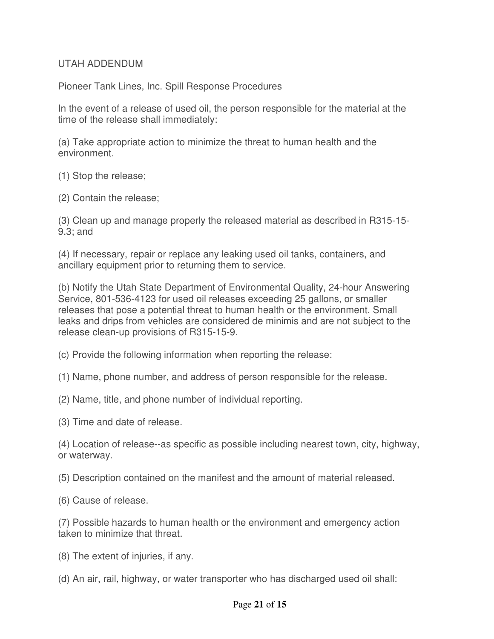#### UTAH ADDENDUM

Pioneer Tank Lines, Inc. Spill Response Procedures

In the event of a release of used oil, the person responsible for the material at the time of the release shall immediately:

(a) Take appropriate action to minimize the threat to human health and the environment.

(1) Stop the release;

(2) Contain the release;

(3) Clean up and manage properly the released material as described in R315-15- 9.3; and

(4) If necessary, repair or replace any leaking used oil tanks, containers, and ancillary equipment prior to returning them to service.

(b) Notify the Utah State Department of Environmental Quality, 24-hour Answering Service, 801-536-4123 for used oil releases exceeding 25 gallons, or smaller releases that pose a potential threat to human health or the environment. Small leaks and drips from vehicles are considered de minimis and are not subject to the release clean-up provisions of R315-15-9.

(c) Provide the following information when reporting the release:

(1) Name, phone number, and address of person responsible for the release.

(2) Name, title, and phone number of individual reporting.

(3) Time and date of release.

(4) Location of release--as specific as possible including nearest town, city, highway, or waterway.

(5) Description contained on the manifest and the amount of material released.

(6) Cause of release.

(7) Possible hazards to human health or the environment and emergency action taken to minimize that threat.

- (8) The extent of injuries, if any.
- (d) An air, rail, highway, or water transporter who has discharged used oil shall: